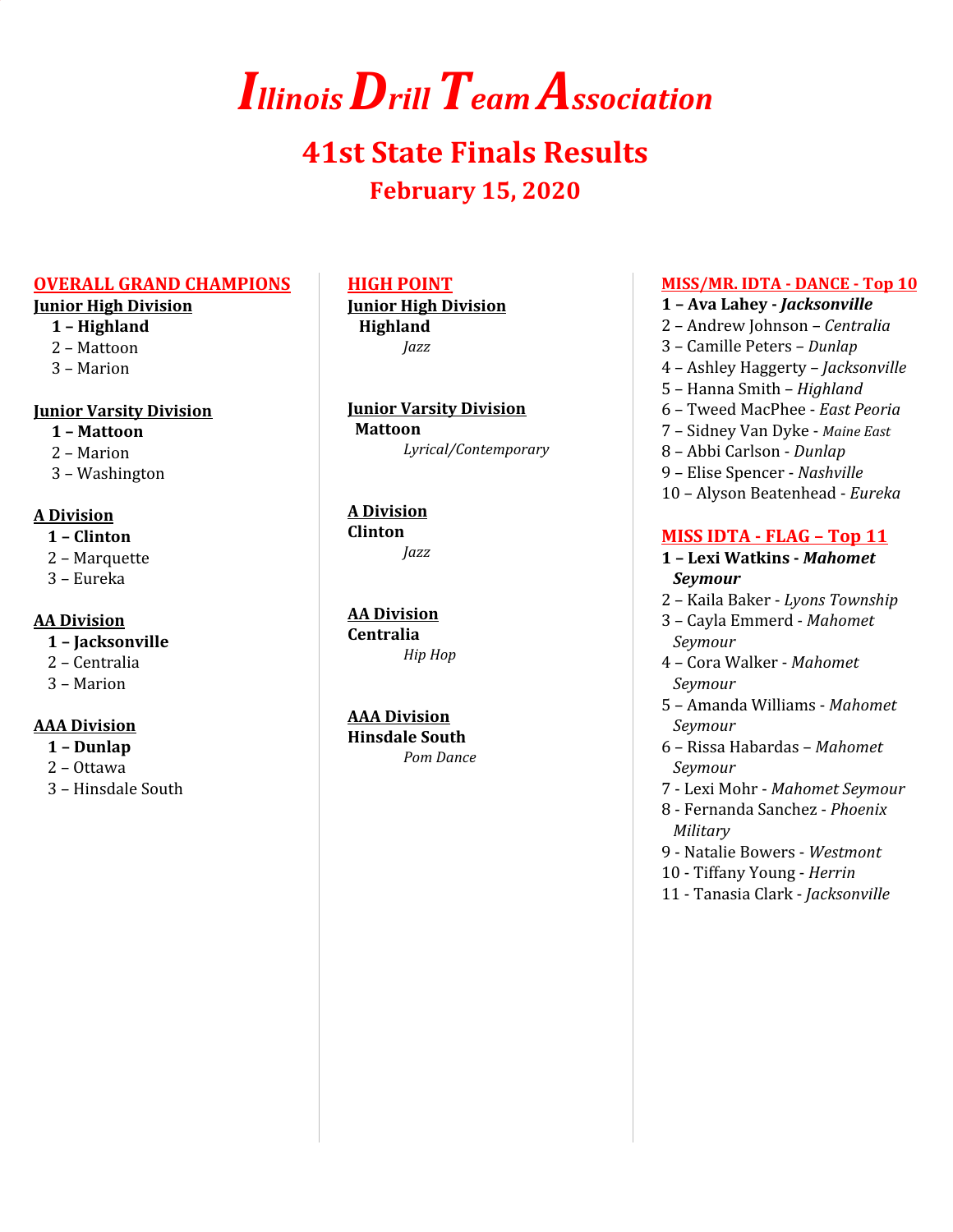# *IllinoisDrillTeam Association*

# **41st State Finals Results February 15, 2020**

#### **OVERALL GRAND CHAMPIONS**

### **Junior High Division**

- **1 – Highland**
- 2 Mattoon
- 3 Marion

### **Junior Varsity Division**

- **1 – Mattoon**
- 2 Marion
- 3 Washington

### **A Division**

- **1 – Clinton**
- 2 Marquette
- 3 Eureka

### **AA Division**

- **1 – Jacksonville**
- 2 Centralia
- 3 Marion

### **AAA Division**

- **1 – Dunlap**
- 2 Ottawa
- 3 Hinsdale South

### **HIGH POINT**

**Junior High Division Highland** *Jazz*

**Junior Varsity Division Mattoon** *Lyrical/Contemporary*

#### **A Division Clinton**

*Jazz*

**AA Division Centralia** *Hip Hop*

### **AAA Division**

**Hinsdale South** *Pom Dance*

### **MISS/MR. IDTA - DANCE - Top 10**

- **1 – Ava Lahey -** *Jacksonville*
- 2 Andrew Johnson *Centralia*
- 3 Camille Peters *Dunlap*
- 4 Ashley Haggerty *Jacksonville*
- 5 Hanna Smith *Highland*
- 6 Tweed MacPhee *East Peoria*
- 7 Sidney Van Dyke *Maine East*
- 8 Abbi Carlson *Dunlap*
- 9 Elise Spencer *Nashville*
- 10 Alyson Beatenhead *Eureka*

### **MISS IDTA - FLAG – Top 11**

- **1 – Lexi Watkins -** *Mahomet Seymour*
- 2 Kaila Baker *Lyons Township*
- 3 Cayla Emmerd *Mahomet Seymour*
- 4 Cora Walker *Mahomet Seymour*
- 5 Amanda Williams *Mahomet Seymour*
- 6 Rissa Habardas *Mahomet Seymour*
- 7 Lexi Mohr *Mahomet Seymour*
- 8 Fernanda Sanchez *Phoenix Military*
- 9 Natalie Bowers *Westmont*
- 10 Tiffany Young *Herrin*
- 11 Tanasia Clark *Jacksonville*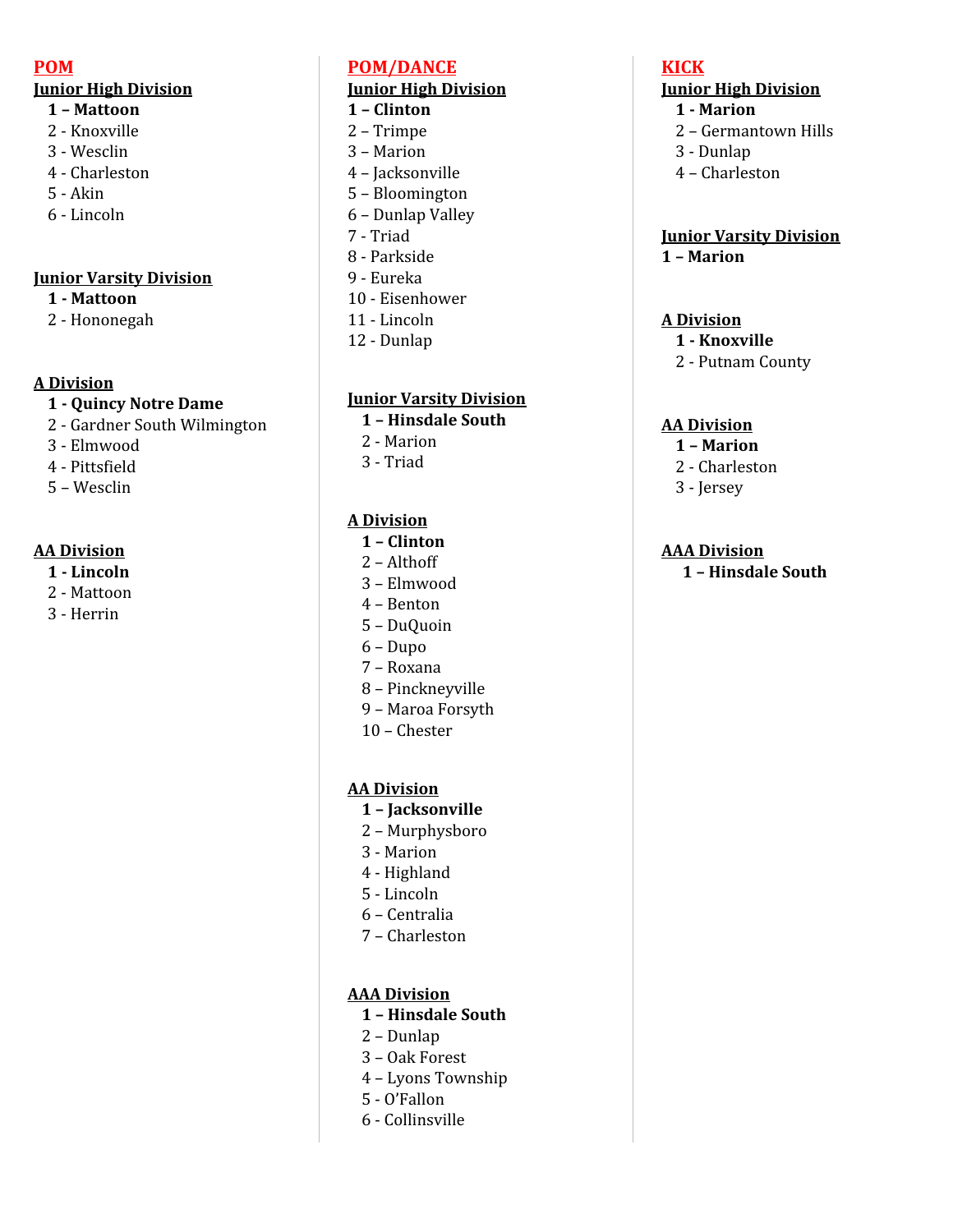### **POM**

### **Junior High Division**

- **– Mattoon**
- Knoxville
- Wesclin
- Charleston
- Akin
- Lincoln

### **Junior Varsity Division**

### **- Mattoon**

- Hononegah

### **A Division**

### **- Quincy Notre Dame**

- Gardner South Wilmington
- Elmwood
- Pittsfield
- Wesclin

### **AA Division**

- **- Lincoln**
- Mattoon
- Herrin

### **POM/DANCE**

### **Junior High Division**

- **– Clinton**
- Trimpe
- Marion
- Jacksonville
- Bloomington
- Dunlap Valley
- Triad
- Parkside
- Eureka
- Eisenhower
- Lincoln
- Dunlap

### **Junior Varsity Division**

- **– Hinsdale South**
- Marion
- Triad

### **A Division**

- **– Clinton**
- Althoff
- Elmwood
- Benton
- DuQuoin
- Dupo
- Roxana
- Pinckneyville
- Maroa Forsyth
- Chester

### **AA Division**

- **– Jacksonville**
- Murphysboro
- Marion
- Highland
- Lincoln
- Centralia
- Charleston

### **AAA Division**

- **– Hinsdale South**
- Dunlap
- Oak Forest
- Lyons Township
- O'Fallon
- Collinsville

### **KICK**

### **Junior High Division**

- **- Marion**
- Germantown Hills
- Dunlap
- Charleston

### **Junior Varsity Division – Marion**

### **A Division**

- **- Knoxville**
- Putnam County

### **AA Division**

- **– Marion**
- Charleston
- Jersey

### **AAA Division**

**– Hinsdale South**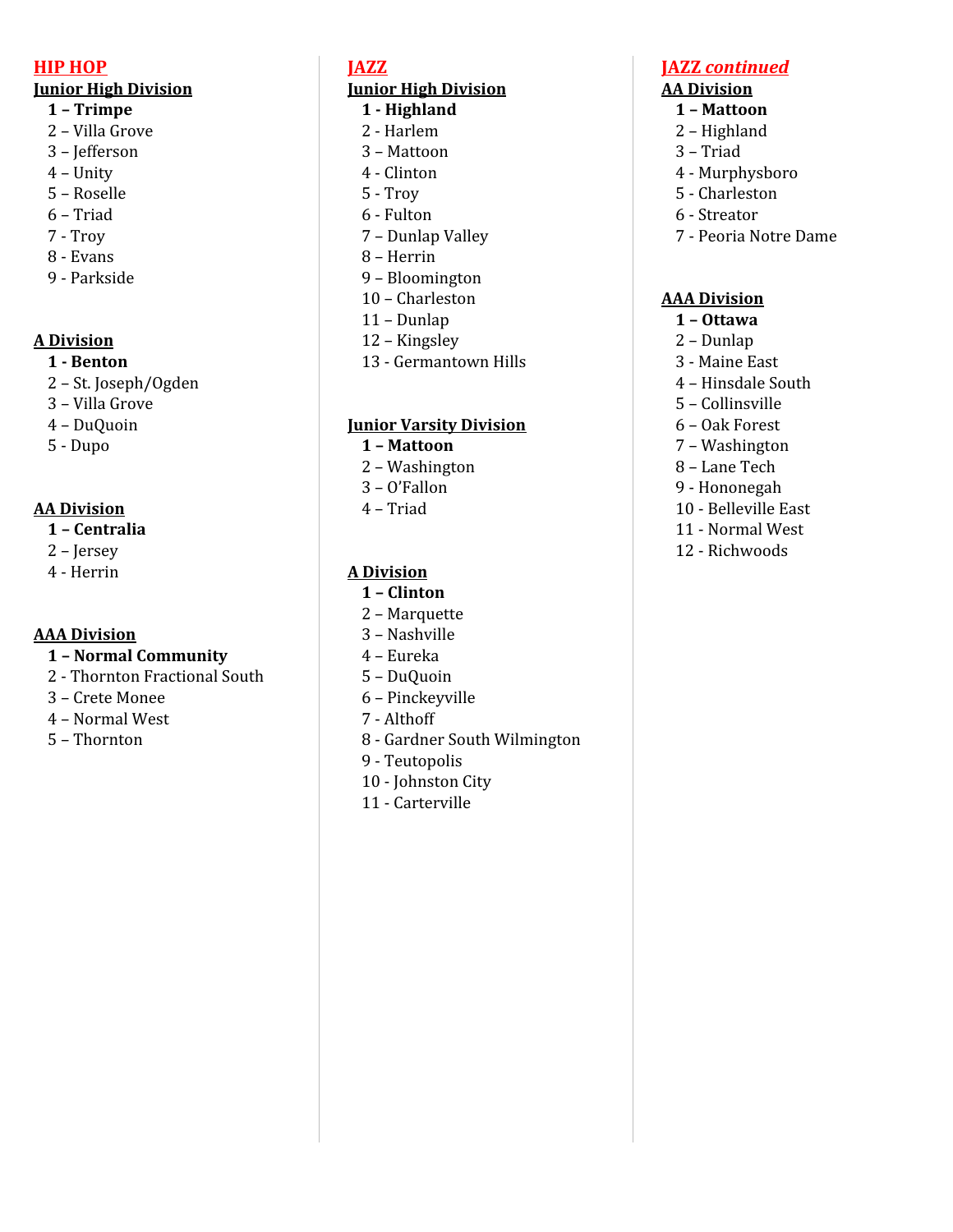### **HIP HOP**

### **Junior High Division**

- **– Trimpe**
- Villa Grove
- Jefferson
- Unity
- Roselle
- Triad
- Troy
- Evans
- Parkside

### **A Division**

### **- Benton**

- St. Joseph/Ogden
- Villa Grove
- DuQuoin
- Dupo

### **AA Division**

- **– Centralia**
- Jersey
- Herrin

### **AAA Division**

- **– Normal Community**
- Thornton Fractional South
- Crete Monee
- Normal West
- Thornton

### **JAZZ**

### **Junior High Division**

- **- Highland**
- Harlem
- Mattoon
- Clinton
- Troy
- Fulton
- Dunlap Valley
- Herrin
- Bloomington
- Charleston
- Dunlap
- Kingsley - Germantown Hills

### **Junior Varsity Division**

- **– Mattoon**
- Washington
- O'Fallon
- Triad

### **A Division**

- **– Clinton**
- Marquette
- Nashville
- Eureka
- DuQuoin
- Pinckeyville
- Althoff
- Gardner South Wilmington
- Teutopolis
- Johnston City
- Carterville

### **JAZZ** *continued*

### **AA Division**

- **– Mattoon**
- Highland
- Triad
- Murphysboro
- Charleston
- Streator
- Peoria Notre Dame

### **AAA Division**

- **– Ottawa**
- Dunlap
- Maine East
- Hinsdale South
- Collinsville
- Oak Forest
- Washington
- Lane Tech
- Hononegah
- Belleville East
- Normal West
- Richwoods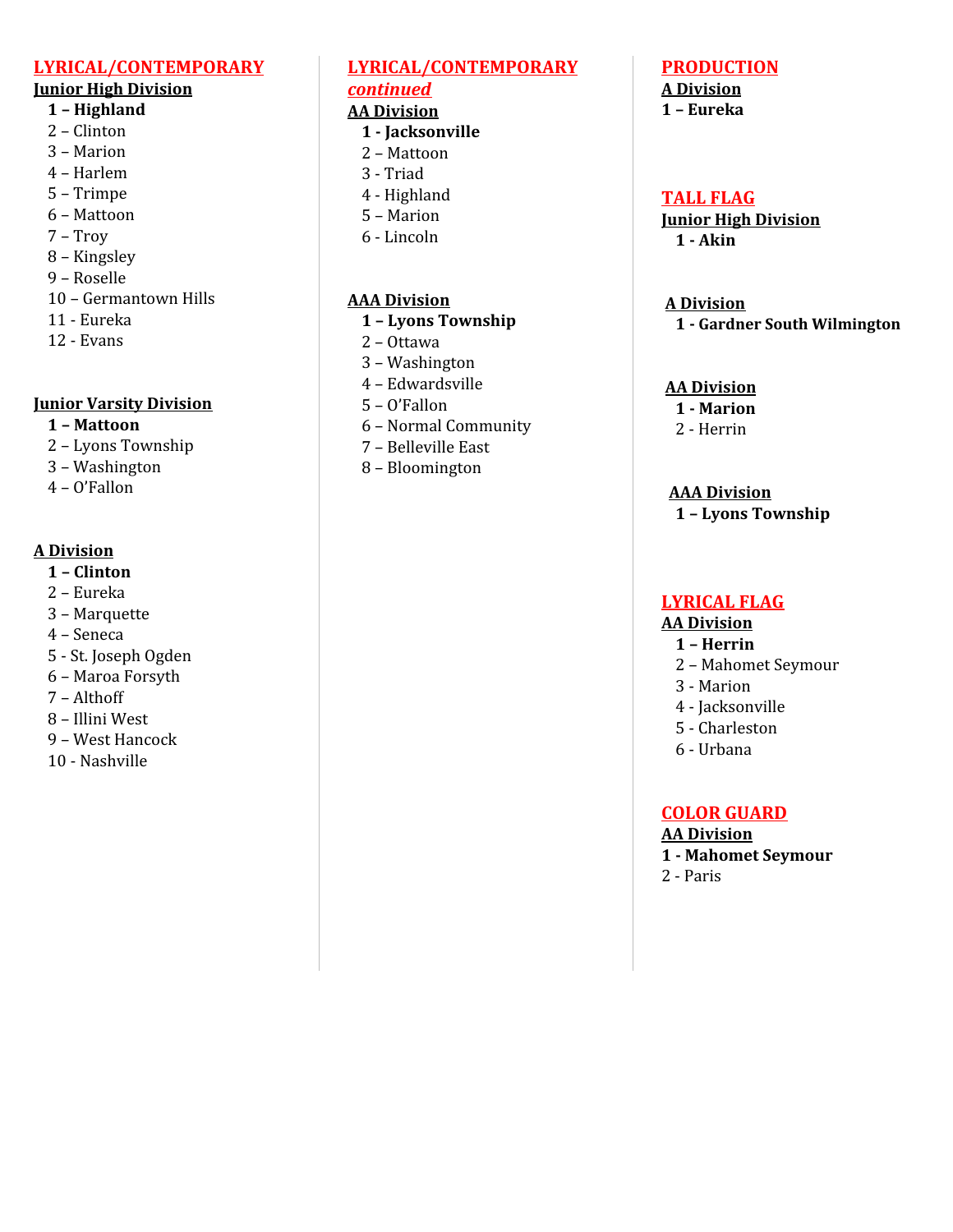### **LYRICAL/CONTEMPORARY**

### **Junior High Division**

### **– Highland**

- Clinton
- Marion
- Harlem
- Trimpe
- Mattoon
- Troy
- Kingsley
- Roselle
- Germantown Hills
- Eureka
- Evans

### **Junior Varsity Division**

### **– Mattoon**

- Lyons Township
- Washington
- O'Fallon

### **A Division**

- **– Clinton**
- Eureka
- Marquette
- Seneca
- St. Joseph Ogden
- Maroa Forsyth
- Althoff
- Illini West
- West Hancock
- Nashville

### **LYRICAL/CONTEMPORARY** *continued*

### **AA Division**

- **- Jacksonville**
- Mattoon
- Triad
- Highland
- Marion
- Lincoln

### **AAA Division**

### **– Lyons Township**

- Ottawa
- Washington
- Edwardsville
- O'Fallon
- Normal Community
- Belleville East
- Bloomington

### **PRODUCTION**

#### **A Division – Eureka**

### **TALL FLAG**

**Junior High Division - Akin**

#### **A Division - Gardner South Wilmington**

### **AA Division**

- **- Marion**
- Herrin

### **AAA Division**

**– Lyons Township**

### **LYRICAL FLAG**

### **AA Division**

- **– Herrin**
- Mahomet Seymour
- Marion
- Jacksonville
- Charleston
- Urbana

### **COLOR GUARD**

### **AA Division**

- **- Mahomet Seymour**
- Paris